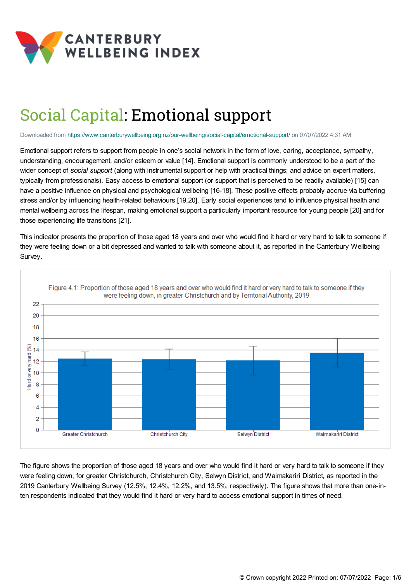

# Social Capital: Emotional support

Downloaded from <https://www.canterburywellbeing.org.nz/our-wellbeing/social-capital/emotional-support/> on 07/07/2022 4:31 AM

Emotional support refers to support from people in one's social network in the form of love, caring, acceptance, sympathy, understanding, encouragement, and/or esteem or value [14]. Emotional support is commonly understood to be a part of the wider concept of *social support* (along with instrumental support or help with practical things; and advice on expert matters, typically from professionals). Easy access to emotional support (or support that is perceived to be readily available) [15] can have a positive influence on physical and psychological wellbeing [16-18]. These positive effects probably accrue via buffering stress and/or by influencing health-related behaviours [19,20]. Early social experiences tend to influence physical health and mental wellbeing across the lifespan, making emotional support a particularly important resource for young people [20] and for those experiencing life transitions [21].

This indicator presents the proportion of those aged 18 years and over who would find it hard or very hard to talk to someone if they were feeling down or a bit depressed and wanted to talk with someone about it, as reported in the Canterbury Wellbeing Survey.



The figure shows the proportion of those aged 18 years and over who would find it hard or very hard to talk to someone if they were feeling down, for greater Christchurch, Christchurch City, Selwyn District, and Waimakariri District, as reported in the 2019 Canterbury Wellbeing Survey (12.5%, 12.4%, 12.2%, and 13.5%, respectively). The figure shows that more than one-inten respondents indicated that they would find it hard or very hard to access emotional support in times of need.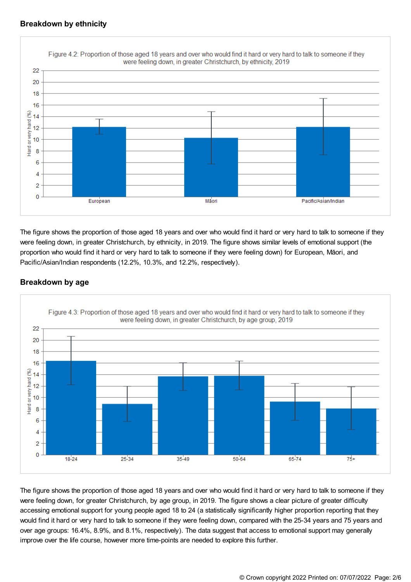## **Breakdown by ethnicity**



The figure shows the proportion of those aged 18 years and over who would find it hard or very hard to talk to someone if they were feeling down, in greater Christchurch, by ethnicity, in 2019. The figure shows similar levels of emotional support (the proportion who would find it hard or very hard to talk to someone if they were feeling down) for European, Māori, and Pacific/Asian/Indian respondents (12.2%, 10.3%, and 12.2%, respectively).

## **Breakdown by age**



The figure shows the proportion of those aged 18 years and over who would find it hard or very hard to talk to someone if they were feeling down, for greater Christchurch, by age group, in 2019. The figure shows a clear picture of greater difficulty accessing emotional support for young people aged 18 to 24 (a statistically significantly higher proportion reporting that they would find it hard or very hard to talk to someone if they were feeling down, compared with the 25-34 years and 75 years and over age groups: 16.4%, 8.9%, and 8.1%, respectively). The data suggest that access to emotional support may generally improve over the life course, however more time-points are needed to explore this further.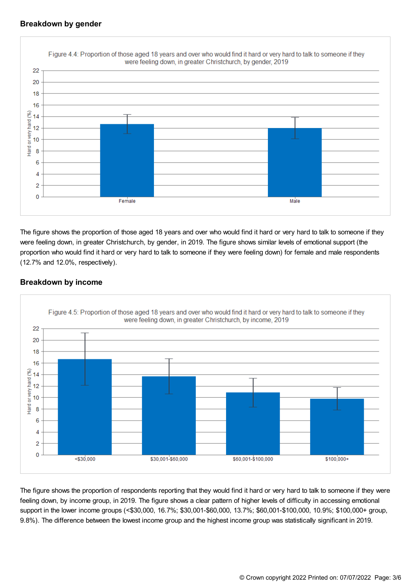## **Breakdown by gender**



The figure shows the proportion of those aged 18 years and over who would find it hard or very hard to talk to someone if they were feeling down, in greater Christchurch, by gender, in 2019. The figure shows similar levels of emotional support (the proportion who would find it hard or very hard to talk to someone if they were feeling down) for female and male respondents (12.7% and 12.0%, respectively).

## **Breakdown by income**



The figure shows the proportion of respondents reporting that they would find it hard or very hard to talk to someone if they were feeling down, by income group, in 2019. The figure shows a clear pattern of higher levels of difficulty in accessing emotional support in the lower income groups (<\$30,000, 16.7%; \$30,001-\$60,000, 13.7%; \$60,001-\$100,000, 10.9%; \$100,000+ group, 9.8%). The difference between the lowest income group and the highest income group was statistically significant in 2019.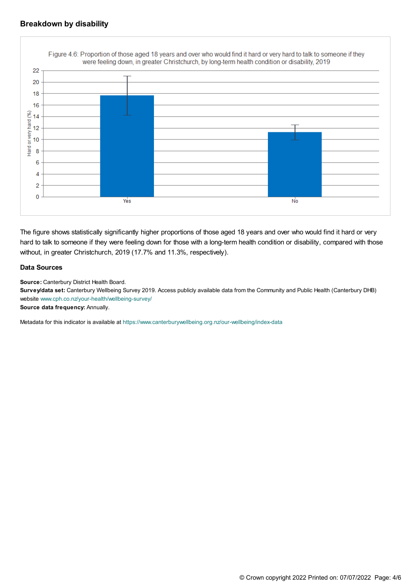#### **Breakdown by disability**



The figure shows statistically significantly higher proportions of those aged 18 years and over who would find it hard or very hard to talk to someone if they were feeling down for those with a long-term health condition or disability, compared with those without, in greater Christchurch, 2019 (17.7% and 11.3%, respectively).

#### **Data Sources**

**Source:** Canterbury District Health Board.

**Survey/data set:** Canterbury Wellbeing Survey 2019. Access publicly available data from the Community and Public Health (Canterbury DHB) website [www.cph.co.nz/your-health/wellbeing-survey/](https://www.cph.co.nz/your-health/wellbeing-survey/)

**Source data frequency:** Annually.

Metadata for this indicator is available at [https://www.canterburywellbeing.org.nz/our-wellbeing/index-data](https://www.canterburywellbeing.org.nz/our-wellbeing/site-information/index-data)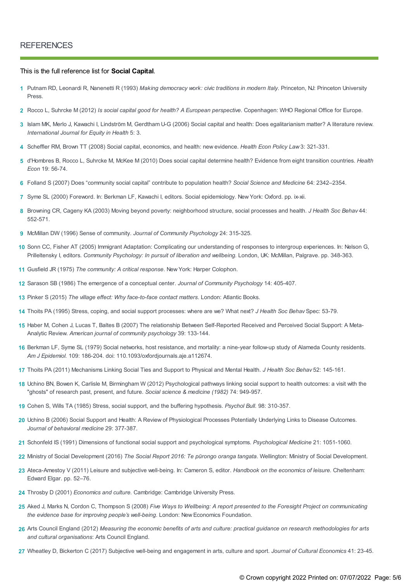#### This is the full reference list for **Social Capital**.

- Putnam RD, Leonardi R, Nanenetti R (1993) *Making democracy work: civic traditions in modern Italy*. Princeton, NJ: Princeton University **1** Press.
- **2** Rocco L, Suhrcke M (2012) *Is social capital good for health? A European perspective*. Copenhagen: WHO Regional Office for Europe.
- Islam MK, Merlo J, Kawachi I, Lindström M, Gerdtham U-G (2006) Social capital and health: Does egalitarianism matter? A literature review. **3** *International Journal for Equity in Health* 5: 3.
- **4** Scheffler RM, Brown TT (2008) Social capital, economics, and health: new evidence. *Health Econ Policy Law* 3: 321-331.
- d'Hombres B, Rocco L, Suhrcke M, McKee M (2010) Does social capital determine health? Evidence from eight transition countries. *Health* **5** *Econ* 19: 56-74.
- **6** Folland S (2007) Does "community social capital" contribute to population health? *Social Science and Medicine* 64: 2342–2354.
- **7** Syme SL (2000) Foreword. In: Berkman LF, Kawachi I, editors. Social epidemiology. New York: Oxford. pp. ix-xii.
- Browning CR, Cageny KA (2003) Moving beyond poverty: neighborhood structure, social processes and health. *J Health Soc Behav* 44: **8** 552-571.
- **9** McMillan DW (1996) Sense of community. *Journal of Community Psychology* 24: 315-325.
- 10 Sonn CC, Fisher AT (2005) Immigrant Adaptation: Complicating our understanding of responses to intergroup experiences. In: Nelson G, Prilleltensky I, editors. *Community Psychology: In pursuit of liberation and wellbeing.* London, UK: McMillan, Palgrave. pp. 348-363.
- **11** Gusfield JR (1975) *The community: A critical response*. New York: Harper Colophon.
- **12** Sarason SB (1986) The emergence of a conceptual center. *Journal of Community Psychology* 14: 405-407.
- **13** Pinker S (2015) *The village effect: Why face-to-face contact matters*. London: Atlantic Books.
- **14** Thoits PA (1995) Stress, coping, and social support processes: where are we? What next? *J Health Soc Behav* Spec: 53-79.
- 15 Haber M, Cohen J, Lucas T, Baltes B (2007) The relationship Between Self-Reported Received and Perceived Social Support: A Meta-Analytic Review. *American journal of community psychology* 39: 133-144.
- 16 Berkman LF, Syme SL (1979) Social networks, host resistance, and mortality: a nine-year follow-up study of Alameda County residents. *Am J Epidemiol.* 109: 186-204. doi: 110.1093/oxfordjournals.aje.a112674.
- **17** Thoits PA (2011) Mechanisms Linking Social Ties and Support to Physical and Mental Health. *J Health Soc Behav* 52: 145-161.
- 18 Uchino BN, Bowen K, Carlisle M, Birmingham W (2012) Psychological pathways linking social support to health outcomes: a visit with the "ghosts" of research past, present, and future. *Social science & medicine (1982)* 74: 949-957.
- **19** Cohen S, Wills TA (1985) Stress, social support, and the buffering hypothesis. *Psychol Bull.* 98: 310-357.
- Uchino B (2006) Social Support and Health: A Review of Physiological Processes Potentially Underlying Links to Disease Outcomes. **20** *Journal of behavioral medicine* 29: 377-387.
- **21** Schonfeld IS (1991) Dimensions of functional social support and psychological symptoms. *Psychological Medicine* 21: 1051-1060.
- **22** Ministry of Social Development (2016) *The Social Report 2016: Te pūrongo oranga tangata*. Wellington: Ministry of Social Development.
- Ateca-Amestoy V (2011) Leisure and subjective well-being. In: Cameron S, editor. *Handbook on the economics of leisure.* Cheltenham: **23** Edward Elgar. pp. 52–76.
- **24** Throsby D (2001) *Economics and culture.* Cambridge: Cambridge University Press.
- 25 Aked J, Marks N, Cordon C, Thompson S (2008) Five Ways to Wellbeing: A report presented to the Foresight Project on communicating *the evidence base for improving people's well-being*. London: New Economics Foundation.
- 26 Arts Council England (2012) Measuring the economic benefits of arts and culture: practical guidance on research methodologies for arts *and cultural organisations*: Arts Council England.
- **27** Wheatley D, Bickerton C (2017) Subjective well-being and engagement in arts, culture and sport. *Journal of Cultural Economics* 41: 23-45.